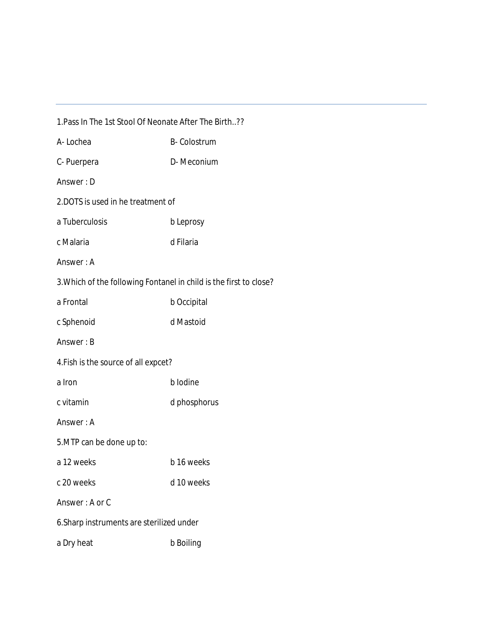| 1. Pass In The 1st Stool Of Neonate After The Birth??              |                    |
|--------------------------------------------------------------------|--------------------|
| A-Lochea                                                           | <b>B-Colostrum</b> |
| C-Puerpera                                                         | D-Meconium         |
| Answer: D                                                          |                    |
| 2.DOTS is used in he treatment of                                  |                    |
| a Tuberculosis                                                     | b Leprosy          |
| c Malaria                                                          | d Filaria          |
| Answer: A                                                          |                    |
| 3. Which of the following Fontanel in child is the first to close? |                    |
| a Frontal                                                          | b Occipital        |
| c Sphenoid                                                         | d Mastoid          |
| Answer: B                                                          |                    |
| 4. Fish is the source of all expcet?                               |                    |
| a Iron                                                             | b lodine           |
| c vitamin                                                          | d phosphorus       |
| Answer: A                                                          |                    |
| 5. MTP can be done up to:                                          |                    |
| a 12 weeks                                                         | b 16 weeks         |
| c 20 weeks                                                         | d 10 weeks         |
| Answer: A or C                                                     |                    |
| 6. Sharp instruments are sterilized under                          |                    |
| a Dry heat                                                         | b Boiling          |